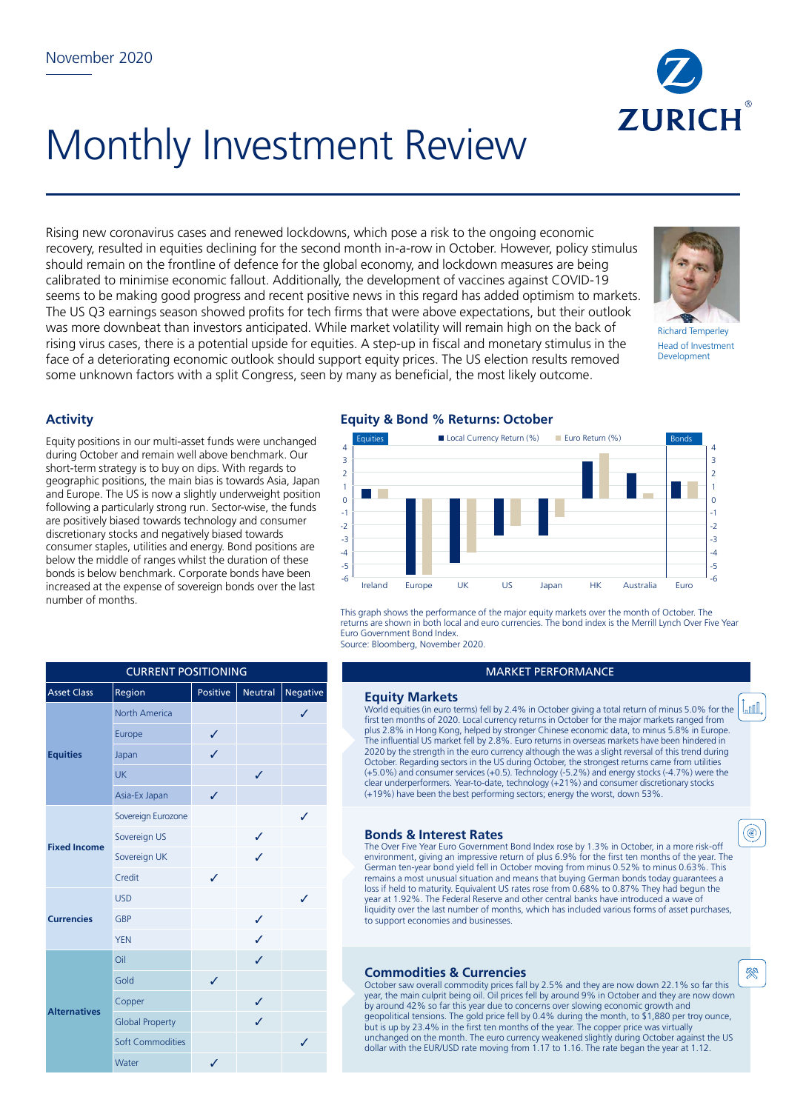

# Monthly Investment Review

Rising new coronavirus cases and renewed lockdowns, which pose a risk to the ongoing economic recovery, resulted in equities declining for the second month in-a-row in October. However, policy stimulus should remain on the frontline of defence for the global economy, and lockdown measures are being calibrated to minimise economic fallout. Additionally, the development of vaccines against COVID-19 seems to be making good progress and recent positive news in this regard has added optimism to markets. The US Q3 earnings season showed profits for tech firms that were above expectations, but their outlook was more downbeat than investors anticipated. While market volatility will remain high on the back of rising virus cases, there is a potential upside for equities. A step-up in fiscal and monetary stimulus in the face of a deteriorating economic outlook should support equity prices. The US election results removed some unknown factors with a split Congress, seen by many as beneficial, the most likely outcome.



Richard Temperley Head of Investment Development

Lml,

(◉)

癸

## **Activity**

Equity positions in our multi-asset funds were unchanged during October and remain well above benchmark. Our short-term strategy is to buy on dips. With regards to geographic positions, the main bias is towards Asia, Japan and Europe. The US is now a slightly underweight position following a particularly strong run. Sector-wise, the funds are positively biased towards technology and consumer discretionary stocks and negatively biased towards consumer staples, utilities and energy. Bond positions are below the middle of ranges whilst the duration of these bonds is below benchmark. Corporate bonds have been increased at the expense of sovereign bonds over the last number of months.

|  |  | <b>Equity &amp; Bond % Returns: October</b> |  |
|--|--|---------------------------------------------|--|
|  |  |                                             |  |



This graph shows the performance of the major equity markets over the month of October. The returns are shown in both local and euro currencies. The bond index is the Merrill Lynch Over Five Year Euro Government Bond Index. Source: Bloomberg, November 2020.

#### MARKET PERFORMANCE

## **Equity Markets**

World equities (in euro terms) fell by 2.4% in October giving a total return of minus 5.0% for the first ten months of 2020. Local currency returns in October for the major markets ranged from plus 2.8% in Hong Kong, helped by stronger Chinese economic data, to minus 5.8% in Europe. The influential US market fell by 2.8%. Euro returns in overseas markets have been hindered in 2020 by the strength in the euro currency although the was a slight reversal of this trend during October. Regarding sectors in the US during October, the strongest returns came from utilities (+5.0%) and consumer services (+0.5). Technology (-5.2%) and energy stocks (-4.7%) were the clear underperformers. Year-to-date, technology (+21%) and consumer discretionary stocks (+19%) have been the best performing sectors; energy the worst, down 53%.

#### **Bonds & Interest Rates**

The Over Five Year Euro Government Bond Index rose by 1.3% in October, in a more risk-off environment, giving an impressive return of plus 6.9% for the first ten months of the year. The German ten-year bond yield fell in October moving from minus 0.52% to minus 0.63%. This remains a most unusual situation and means that buying German bonds today guarantees a loss if held to maturity. Equivalent US rates rose from 0.68% to 0.87% They had begun the year at 1.92%. The Federal Reserve and other central banks have introduced a wave of liquidity over the last number of months, which has included various forms of asset purchases, to support economies and businesses.

### **Commodities & Currencies**

October saw overall commodity prices fall by 2.5% and they are now down 22.1% so far this year, the main culprit being oil. Oil prices fell by around 9% in October and they are now down by around 42% so far this year due to concerns over slowing economic growth and geopolitical tensions. The gold price fell by 0.4% during the month, to \$1,880 per troy ounce, but is up by 23.4% in the first ten months of the year. The copper price was virtually unchanged on the month. The euro currency weakened slightly during October against the US dollar with the EUR/USD rate moving from 1.17 to 1.16. The rate began the year at 1.12.

| <b>CURRENT POSITIONING</b> |                        |                 |         |          |  |  |  |
|----------------------------|------------------------|-----------------|---------|----------|--|--|--|
| <b>Asset Class</b>         | Region                 | <b>Positive</b> | Neutral | Negative |  |  |  |
|                            | <b>North America</b>   |                 |         | ✓        |  |  |  |
| <b>Equities</b>            | Europe                 | ✓               |         |          |  |  |  |
|                            | Japan                  | J               |         |          |  |  |  |
|                            | UK                     |                 | J       |          |  |  |  |
|                            | Asia-Ex Japan          | ✓               |         |          |  |  |  |
|                            | Sovereign Eurozone     |                 |         | ✓        |  |  |  |
| <b>Fixed Income</b>        | Sovereign US           |                 | ✓       |          |  |  |  |
|                            | Sovereign UK           |                 | J       |          |  |  |  |
|                            | Credit                 | ✓               |         |          |  |  |  |
|                            | <b>USD</b>             |                 |         | ✓        |  |  |  |
| <b>Currencies</b>          | <b>GBP</b>             |                 | ✓       |          |  |  |  |
|                            | <b>YEN</b>             |                 | J       |          |  |  |  |
|                            | Oil                    |                 | J       |          |  |  |  |
| <b>Alternatives</b>        | Gold                   | ✓               |         |          |  |  |  |
|                            | Copper                 |                 | ✓       |          |  |  |  |
|                            | <b>Global Property</b> |                 | ✓       |          |  |  |  |
|                            | Soft Commodities       |                 |         | ✓        |  |  |  |
|                            | Water                  | ✓               |         |          |  |  |  |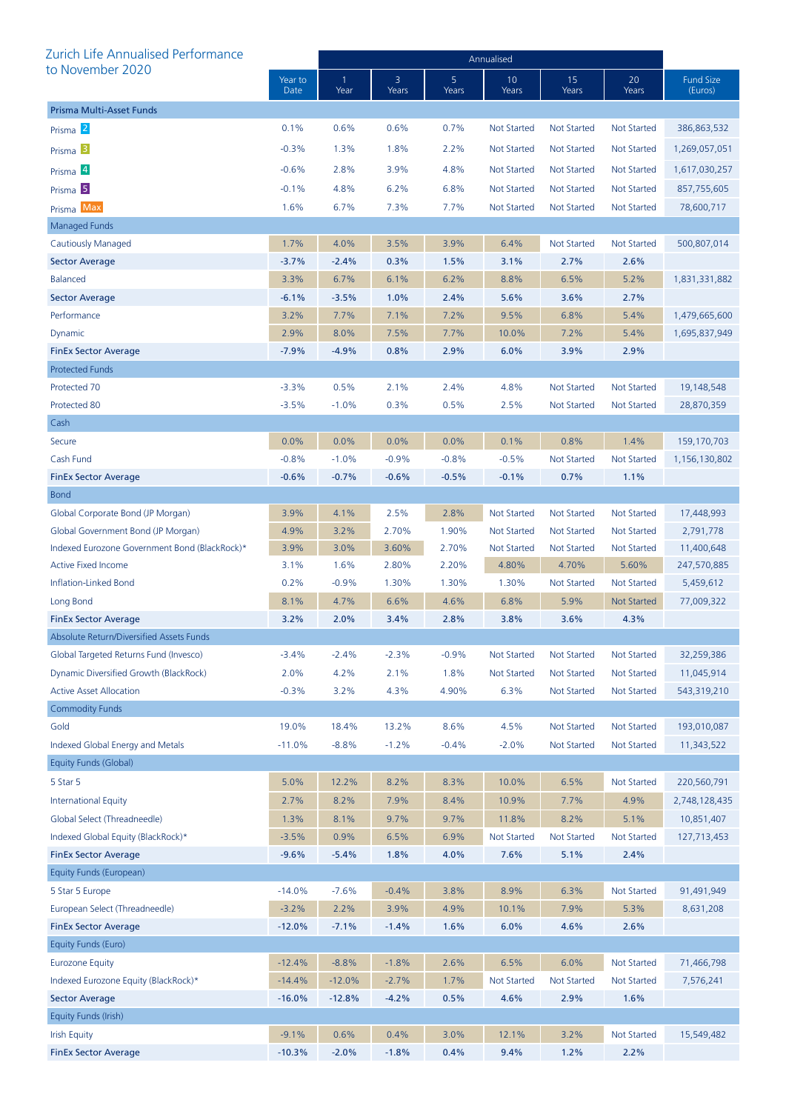| Zurich Life Annualised Performance            |                 | Annualised |            |            |                    |                    |                    |                             |
|-----------------------------------------------|-----------------|------------|------------|------------|--------------------|--------------------|--------------------|-----------------------------|
| to November 2020                              | Year to<br>Date | 1<br>Year  | 3<br>Years | 5<br>Years | 10<br>Years        | 15<br>Years        | 20<br>Years        | <b>Fund Size</b><br>(Euros) |
| Prisma Multi-Asset Funds                      |                 |            |            |            |                    |                    |                    |                             |
| Prisma <sup>2</sup>                           | 0.1%            | 0.6%       | 0.6%       | 0.7%       | <b>Not Started</b> | <b>Not Started</b> | Not Started        | 386,863,532                 |
| Prisma <sup>3</sup>                           | $-0.3%$         | 1.3%       | 1.8%       | 2.2%       | <b>Not Started</b> | Not Started        | Not Started        | 1,269,057,051               |
| Prisma <sup>4</sup>                           | $-0.6%$         | 2.8%       | 3.9%       | 4.8%       | <b>Not Started</b> | <b>Not Started</b> | Not Started        | 1,617,030,257               |
| Prisma <sup>5</sup>                           | $-0.1%$         | 4.8%       | 6.2%       | 6.8%       | <b>Not Started</b> | Not Started        | <b>Not Started</b> | 857,755,605                 |
| Prisma Max                                    | 1.6%            | 6.7%       | 7.3%       | 7.7%       | Not Started        | <b>Not Started</b> | <b>Not Started</b> | 78,600,717                  |
| <b>Managed Funds</b>                          |                 |            |            |            |                    |                    |                    |                             |
| Cautiously Managed                            | 1.7%            | 4.0%       | 3.5%       | 3.9%       | 6.4%               | <b>Not Started</b> | Not Started        | 500,807,014                 |
| <b>Sector Average</b>                         | $-3.7%$         | $-2.4%$    | 0.3%       | 1.5%       | 3.1%               | 2.7%               | 2.6%               |                             |
| <b>Balanced</b>                               | 3.3%            | 6.7%       | 6.1%       | 6.2%       | 8.8%               | 6.5%               | 5.2%               | 1,831,331,882               |
| <b>Sector Average</b>                         | $-6.1%$         | $-3.5%$    | 1.0%       | 2.4%       | 5.6%               | 3.6%               | 2.7%               |                             |
| Performance                                   | 3.2%            | 7.7%       | 7.1%       | 7.2%       | 9.5%               | 6.8%               | 5.4%               | 1,479,665,600               |
| Dynamic                                       | 2.9%            | 8.0%       | 7.5%       | 7.7%       | 10.0%              | 7.2%               | 5.4%               | 1,695,837,949               |
| <b>FinEx Sector Average</b>                   | $-7.9%$         | $-4.9%$    | 0.8%       | 2.9%       | 6.0%               | 3.9%               | 2.9%               |                             |
| <b>Protected Funds</b>                        |                 |            |            |            |                    |                    |                    |                             |
| Protected 70                                  | $-3.3%$         | 0.5%       | 2.1%       | 2.4%       | 4.8%               | <b>Not Started</b> | <b>Not Started</b> | 19,148,548                  |
| Protected 80                                  | $-3.5%$         | $-1.0%$    | 0.3%       | 0.5%       | 2.5%               | <b>Not Started</b> | <b>Not Started</b> | 28,870,359                  |
| Cash                                          |                 |            |            |            |                    |                    |                    |                             |
| Secure                                        | 0.0%            | 0.0%       | 0.0%       | 0.0%       | 0.1%               | 0.8%               | 1.4%               | 159,170,703                 |
| Cash Fund                                     | $-0.8%$         | $-1.0%$    | $-0.9%$    | $-0.8%$    | $-0.5%$            | <b>Not Started</b> | <b>Not Started</b> | 1,156,130,802               |
| <b>FinEx Sector Average</b>                   | $-0.6%$         | $-0.7%$    | $-0.6%$    | $-0.5%$    | $-0.1%$            | 0.7%               | 1.1%               |                             |
| <b>Bond</b>                                   |                 |            |            |            |                    |                    |                    |                             |
| Global Corporate Bond (JP Morgan)             | 3.9%            | 4.1%       | 2.5%       | 2.8%       | <b>Not Started</b> | <b>Not Started</b> | <b>Not Started</b> | 17,448,993                  |
| Global Government Bond (JP Morgan)            | 4.9%            | 3.2%       | 2.70%      | 1.90%      | <b>Not Started</b> | Not Started        | Not Started        | 2,791,778                   |
| Indexed Eurozone Government Bond (BlackRock)* | 3.9%            | 3.0%       | 3.60%      | 2.70%      | <b>Not Started</b> | <b>Not Started</b> | <b>Not Started</b> | 11,400,648                  |
| <b>Active Fixed Income</b>                    | 3.1%            | 1.6%       | 2.80%      | 2.20%      | 4.80%              | 4.70%              | 5.60%              | 247,570,885                 |
| Inflation-Linked Bond                         | 0.2%            | $-0.9%$    | 1.30%      | 1.30%      | 1.30%              | <b>Not Started</b> | Not Started        | 5,459,612                   |
| Long Bond                                     | 8.1%            | 4.7%       | 6.6%       | 4.6%       | 6.8%               | 5.9%               | <b>Not Started</b> | 77,009,322                  |
| <b>FinEx Sector Average</b>                   | 3.2%            | 2.0%       | 3.4%       | 2.8%       | 3.8%               | 3.6%               | 4.3%               |                             |
| Absolute Return/Diversified Assets Funds      |                 |            |            |            |                    |                    |                    |                             |
| Global Targeted Returns Fund (Invesco)        | $-3.4%$         | $-2.4%$    | $-2.3%$    | $-0.9%$    | <b>Not Started</b> | <b>Not Started</b> | <b>Not Started</b> | 32,259,386                  |
| Dynamic Diversified Growth (BlackRock)        | 2.0%            | 4.2%       | 2.1%       | 1.8%       | <b>Not Started</b> | <b>Not Started</b> | Not Started        | 11,045,914                  |
| <b>Active Asset Allocation</b>                | $-0.3%$         | 3.2%       | 4.3%       | 4.90%      | 6.3%               | <b>Not Started</b> | Not Started        | 543,319,210                 |
| <b>Commodity Funds</b>                        |                 |            |            |            |                    |                    |                    |                             |
| Gold                                          | 19.0%           | 18.4%      | 13.2%      | 8.6%       | 4.5%               | <b>Not Started</b> | Not Started        | 193,010,087                 |
| Indexed Global Energy and Metals              | $-11.0%$        | $-8.8%$    | $-1.2%$    | $-0.4%$    | $-2.0%$            | <b>Not Started</b> | Not Started        | 11,343,522                  |
| Equity Funds (Global)                         |                 |            |            |            |                    |                    |                    |                             |
| 5 Star 5                                      | 5.0%            | 12.2%      | 8.2%       | 8.3%       | 10.0%              | 6.5%               | Not Started        | 220,560,791                 |
| <b>International Equity</b>                   | 2.7%            | 8.2%       | 7.9%       | 8.4%       | 10.9%              | 7.7%               | 4.9%               | 2,748,128,435               |
| Global Select (Threadneedle)                  | 1.3%            | 8.1%       | 9.7%       | 9.7%       | 11.8%              | 8.2%               | 5.1%               | 10,851,407                  |
| Indexed Global Equity (BlackRock)*            | $-3.5%$         | 0.9%       | 6.5%       | 6.9%       | <b>Not Started</b> | <b>Not Started</b> | <b>Not Started</b> | 127,713,453                 |
| <b>FinEx Sector Average</b>                   | $-9.6%$         | $-5.4%$    | 1.8%       | 4.0%       | 7.6%               | 5.1%               | 2.4%               |                             |
| Equity Funds (European)                       |                 |            |            |            |                    |                    |                    |                             |
| 5 Star 5 Europe                               | $-14.0%$        | $-7.6%$    | $-0.4%$    | 3.8%       | 8.9%               | 6.3%               | Not Started        | 91,491,949                  |
| European Select (Threadneedle)                | $-3.2%$         | 2.2%       | 3.9%       | 4.9%       | 10.1%              | 7.9%               | 5.3%               | 8,631,208                   |
| <b>FinEx Sector Average</b>                   | $-12.0%$        | $-7.1%$    | $-1.4%$    | 1.6%       | 6.0%               | 4.6%               | 2.6%               |                             |
| Equity Funds (Euro)                           |                 |            |            |            |                    |                    |                    |                             |
| <b>Eurozone Equity</b>                        | $-12.4%$        | $-8.8%$    | $-1.8%$    | 2.6%       | 6.5%               | 6.0%               | <b>Not Started</b> | 71,466,798                  |
| Indexed Eurozone Equity (BlackRock)*          | $-14.4%$        | $-12.0%$   | $-2.7%$    | 1.7%       | <b>Not Started</b> | <b>Not Started</b> | <b>Not Started</b> | 7,576,241                   |
| <b>Sector Average</b>                         | $-16.0%$        | $-12.8%$   | $-4.2%$    | 0.5%       | 4.6%               | 2.9%               | 1.6%               |                             |
| Equity Funds (Irish)                          |                 |            |            |            |                    |                    |                    |                             |
| <b>Irish Equity</b>                           | $-9.1%$         | 0.6%       | 0.4%       | 3.0%       | 12.1%              | 3.2%               | <b>Not Started</b> | 15,549,482                  |
| <b>FinEx Sector Average</b>                   | $-10.3%$        | $-2.0%$    | $-1.8%$    | 0.4%       | 9.4%               | 1.2%               | 2.2%               |                             |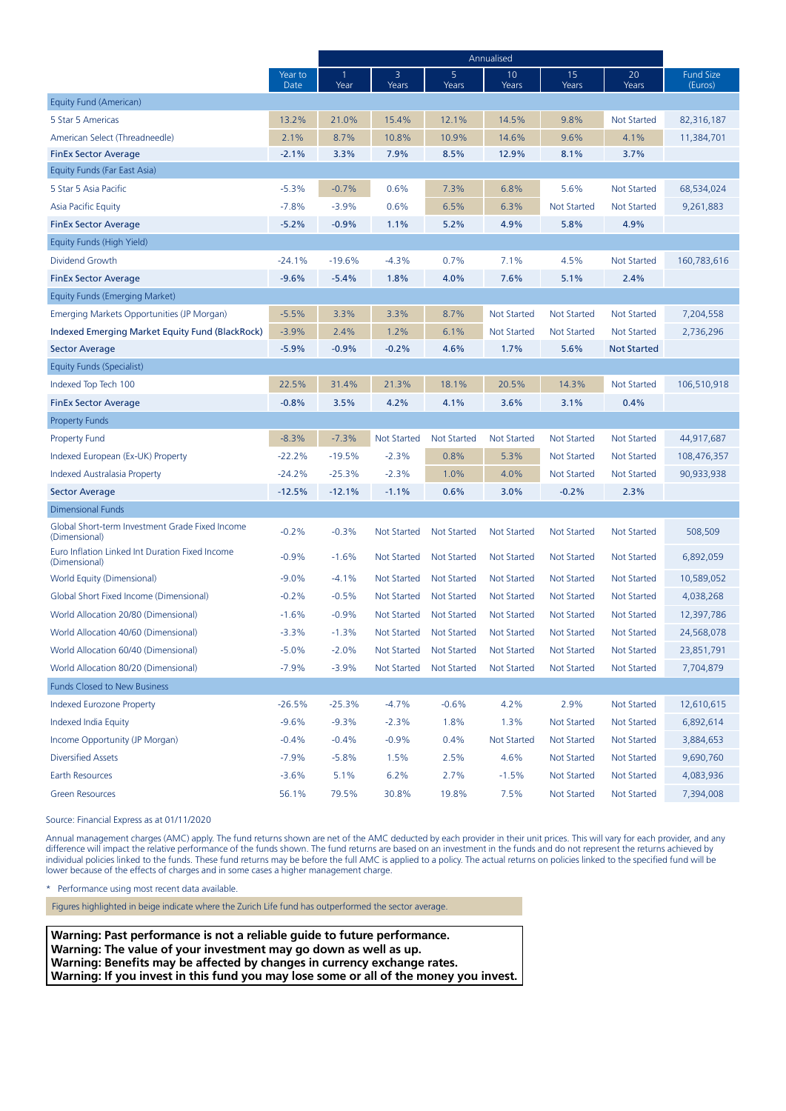|                                                                  |                 | Annualised |                    |                    |                    |                    |                    |                             |
|------------------------------------------------------------------|-----------------|------------|--------------------|--------------------|--------------------|--------------------|--------------------|-----------------------------|
|                                                                  | Year to<br>Date | -1<br>Year | 3<br>Years         | 5<br>Years         | 10<br>Years        | 15<br>Years        | 20<br>Years        | <b>Fund Size</b><br>(Euros) |
| Equity Fund (American)                                           |                 |            |                    |                    |                    |                    |                    |                             |
| 5 Star 5 Americas                                                | 13.2%           | 21.0%      | 15.4%              | 12.1%              | 14.5%              | 9.8%               | <b>Not Started</b> | 82,316,187                  |
| American Select (Threadneedle)                                   | 2.1%            | 8.7%       | 10.8%              | 10.9%              | 14.6%              | 9.6%               | 4.1%               | 11,384,701                  |
| <b>FinEx Sector Average</b>                                      | $-2.1%$         | 3.3%       | 7.9%               | 8.5%               | 12.9%              | 8.1%               | 3.7%               |                             |
| Equity Funds (Far East Asia)                                     |                 |            |                    |                    |                    |                    |                    |                             |
| 5 Star 5 Asia Pacific                                            | $-5.3%$         | $-0.7%$    | 0.6%               | 7.3%               | 6.8%               | 5.6%               | <b>Not Started</b> | 68,534,024                  |
| <b>Asia Pacific Equity</b>                                       | $-7.8%$         | $-3.9%$    | 0.6%               | 6.5%               | 6.3%               | <b>Not Started</b> | <b>Not Started</b> | 9,261,883                   |
| <b>FinEx Sector Average</b>                                      | $-5.2%$         | $-0.9%$    | 1.1%               | 5.2%               | 4.9%               | 5.8%               | 4.9%               |                             |
| Equity Funds (High Yield)                                        |                 |            |                    |                    |                    |                    |                    |                             |
| Dividend Growth                                                  | $-24.1%$        | $-19.6%$   | $-4.3%$            | 0.7%               | 7.1%               | 4.5%               | <b>Not Started</b> | 160,783,616                 |
| <b>FinEx Sector Average</b>                                      | $-9.6%$         | $-5.4%$    | 1.8%               | 4.0%               | 7.6%               | 5.1%               | 2.4%               |                             |
| Equity Funds (Emerging Market)                                   |                 |            |                    |                    |                    |                    |                    |                             |
| Emerging Markets Opportunities (JP Morgan)                       | $-5.5%$         | 3.3%       | 3.3%               | 8.7%               | <b>Not Started</b> | <b>Not Started</b> | <b>Not Started</b> | 7,204,558                   |
| Indexed Emerging Market Equity Fund (BlackRock)                  | $-3.9%$         | 2.4%       | 1.2%               | 6.1%               | <b>Not Started</b> | <b>Not Started</b> | <b>Not Started</b> | 2,736,296                   |
| <b>Sector Average</b>                                            | $-5.9%$         | $-0.9%$    | $-0.2%$            | 4.6%               | 1.7%               | 5.6%               | <b>Not Started</b> |                             |
| Equity Funds (Specialist)                                        |                 |            |                    |                    |                    |                    |                    |                             |
| Indexed Top Tech 100                                             | 22.5%           | 31.4%      | 21.3%              | 18.1%              | 20.5%              | 14.3%              | <b>Not Started</b> | 106,510,918                 |
| <b>FinEx Sector Average</b>                                      | $-0.8%$         | 3.5%       | 4.2%               | 4.1%               | 3.6%               | 3.1%               | 0.4%               |                             |
| <b>Property Funds</b>                                            |                 |            |                    |                    |                    |                    |                    |                             |
| <b>Property Fund</b>                                             | $-8.3%$         | $-7.3%$    | <b>Not Started</b> | Not Started        | <b>Not Started</b> | <b>Not Started</b> | <b>Not Started</b> | 44,917,687                  |
| Indexed European (Ex-UK) Property                                | $-22.2%$        | $-19.5%$   | $-2.3%$            | 0.8%               | 5.3%               | <b>Not Started</b> | <b>Not Started</b> | 108,476,357                 |
| Indexed Australasia Property                                     | $-24.2%$        | $-25.3%$   | $-2.3%$            | 1.0%               | 4.0%               | <b>Not Started</b> | <b>Not Started</b> | 90,933,938                  |
| Sector Average                                                   | $-12.5%$        | $-12.1%$   | $-1.1%$            | 0.6%               | 3.0%               | $-0.2%$            | 2.3%               |                             |
| <b>Dimensional Funds</b>                                         |                 |            |                    |                    |                    |                    |                    |                             |
| Global Short-term Investment Grade Fixed Income<br>(Dimensional) | $-0.2%$         | $-0.3%$    | <b>Not Started</b> | <b>Not Started</b> | <b>Not Started</b> | <b>Not Started</b> | <b>Not Started</b> | 508,509                     |
| Euro Inflation Linked Int Duration Fixed Income<br>(Dimensional) | $-0.9%$         | $-1.6%$    | <b>Not Started</b> | Not Started        | <b>Not Started</b> | <b>Not Started</b> | Not Started        | 6,892,059                   |
| <b>World Equity (Dimensional)</b>                                | $-9.0%$         | $-4.1%$    | <b>Not Started</b> | Not Started        | <b>Not Started</b> | <b>Not Started</b> | Not Started        | 10,589,052                  |
| Global Short Fixed Income (Dimensional)                          | $-0.2%$         | $-0.5%$    | Not Started        | <b>Not Started</b> | <b>Not Started</b> | <b>Not Started</b> | <b>Not Started</b> | 4,038,268                   |
| World Allocation 20/80 (Dimensional)                             | $-1.6%$         | $-0.9%$    | <b>Not Started</b> | Not Started        | <b>Not Started</b> | <b>Not Started</b> | <b>Not Started</b> | 12,397,786                  |
| World Allocation 40/60 (Dimensional)                             | $-3.3%$         | $-1.3%$    | Not Started        | Not Started        | <b>Not Started</b> | <b>Not Started</b> | <b>Not Started</b> | 24,568,078                  |
| World Allocation 60/40 (Dimensional)                             | $-5.0%$         | $-2.0%$    | Not Started        | Not Started        | Not Started        | Not Started        | Not Started        | 23,851,791                  |
| World Allocation 80/20 (Dimensional)                             | $-7.9%$         | $-3.9%$    | <b>Not Started</b> | <b>Not Started</b> | <b>Not Started</b> | <b>Not Started</b> | Not Started        | 7,704,879                   |
| <b>Funds Closed to New Business</b>                              |                 |            |                    |                    |                    |                    |                    |                             |
| <b>Indexed Eurozone Property</b>                                 | $-26.5%$        | $-25.3%$   | $-4.7%$            | $-0.6%$            | 4.2%               | 2.9%               | <b>Not Started</b> | 12,610,615                  |
| Indexed India Equity                                             | $-9.6%$         | $-9.3%$    | $-2.3%$            | 1.8%               | 1.3%               | <b>Not Started</b> | <b>Not Started</b> | 6,892,614                   |
| Income Opportunity (JP Morgan)                                   | $-0.4%$         | $-0.4%$    | $-0.9%$            | 0.4%               | <b>Not Started</b> | <b>Not Started</b> | Not Started        | 3,884,653                   |
| <b>Diversified Assets</b>                                        | $-7.9%$         | $-5.8%$    | 1.5%               | 2.5%               | 4.6%               | <b>Not Started</b> | <b>Not Started</b> | 9,690,760                   |
| Earth Resources                                                  | $-3.6%$         | 5.1%       | 6.2%               | 2.7%               | $-1.5%$            | <b>Not Started</b> | <b>Not Started</b> | 4,083,936                   |
| <b>Green Resources</b>                                           | 56.1%           | 79.5%      | 30.8%              | 19.8%              | 7.5%               | <b>Not Started</b> | <b>Not Started</b> | 7,394,008                   |

Source: Financial Express as at 01/11/2020

Annual management charges (AMC) apply. The fund returns shown are net of the AMC deducted by each provider in their unit prices. This will vary for each provider, and any difference will impact the relative performance of the funds shown. The fund returns are based on an investment in the funds and do not represent the returns achieved by individual policies linked to the funds. These fund returns may be before the full AMC is applied to a policy. The actual returns on policies linked to the specified fund will be lower because of the effects of charges and in some cases a higher management charge.

Performance using most recent data available.

Figures highlighted in beige indicate where the Zurich Life fund has outperformed the sector average.

**Warning: Past performance is not a reliable guide to future performance. Warning: The value of your investment may go down as well as up. Warning: Benefits may be affected by changes in currency exchange rates. Warning: If you invest in this fund you may lose some or all of the money you invest.**